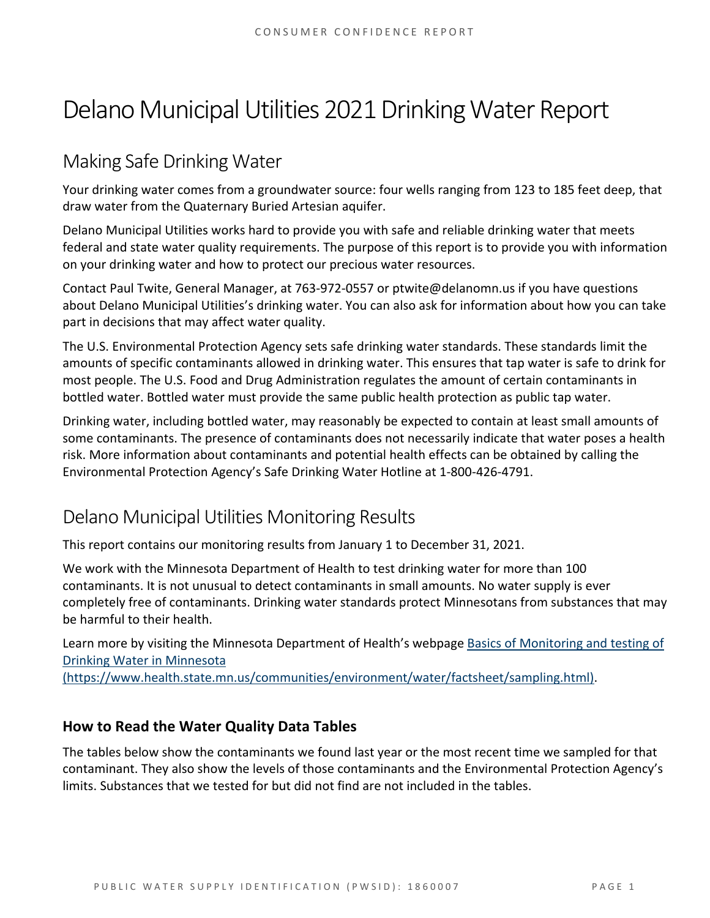# Delano Municipal Utilities 2021 Drinking Water Report

# Making Safe Drinking Water

Your drinking water comes from a groundwater source: four wells ranging from 123 to 185 feet deep, that draw water from the Quaternary Buried Artesian aquifer.

Delano Municipal Utilities works hard to provide you with safe and reliable drinking water that meets federal and state water quality requirements. The purpose of this report is to provide you with information on your drinking water and how to protect our precious water resources.

Contact Paul Twite, General Manager, at 763‐972‐0557 or ptwite@delanomn.us if you have questions about Delano Municipal Utilities's drinking water. You can also ask for information about how you can take part in decisions that may affect water quality.

The U.S. Environmental Protection Agency sets safe drinking water standards. These standards limit the amounts of specific contaminants allowed in drinking water. This ensures that tap water is safe to drink for most people. The U.S. Food and Drug Administration regulates the amount of certain contaminants in bottled water. Bottled water must provide the same public health protection as public tap water.

Drinking water, including bottled water, may reasonably be expected to contain at least small amounts of some contaminants. The presence of contaminants does not necessarily indicate that water poses a health risk. More information about contaminants and potential health effects can be obtained by calling the Environmental Protection Agency's Safe Drinking Water Hotline at 1‐800‐426‐4791.

# Delano Municipal Utilities Monitoring Results

This report contains our monitoring results from January 1 to December 31, 2021.

We work with the Minnesota Department of Health to test drinking water for more than 100 contaminants. It is not unusual to detect contaminants in small amounts. No water supply is ever completely free of contaminants. Drinking water standards protect Minnesotans from substances that may be harmful to their health.

Learn more by visiting the Minnesota Department of Health's webpage Basics of Monitoring and testing of Drinking Water in Minnesota

(https://www.health.state.mn.us/communities/environment/water/factsheet/sampling.html).

## **How to Read the Water Quality Data Tables**

The tables below show the contaminants we found last year or the most recent time we sampled for that contaminant. They also show the levels of those contaminants and the Environmental Protection Agency's limits. Substances that we tested for but did not find are not included in the tables.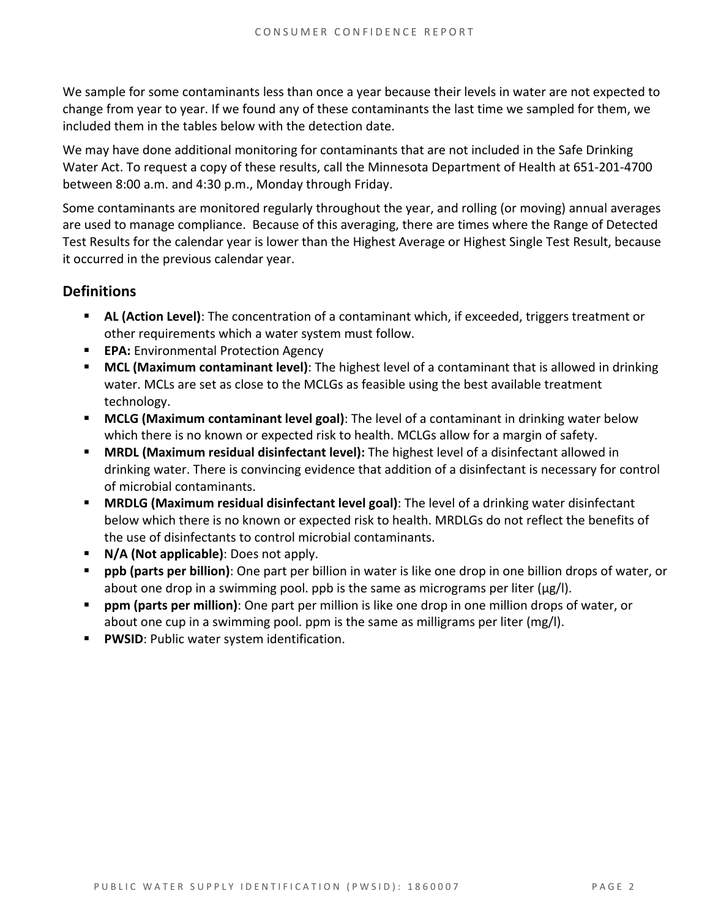We sample for some contaminants less than once a year because their levels in water are not expected to change from year to year. If we found any of these contaminants the last time we sampled for them, we included them in the tables below with the detection date.

We may have done additional monitoring for contaminants that are not included in the Safe Drinking Water Act. To request a copy of these results, call the Minnesota Department of Health at 651‐201‐4700 between 8:00 a.m. and 4:30 p.m., Monday through Friday.

Some contaminants are monitored regularly throughout the year, and rolling (or moving) annual averages are used to manage compliance. Because of this averaging, there are times where the Range of Detected Test Results for the calendar year is lower than the Highest Average or Highest Single Test Result, because it occurred in the previous calendar year.

### **Definitions**

- **AL (Action Level)**: The concentration of a contaminant which, if exceeded, triggers treatment or other requirements which a water system must follow.
- **EPA:** Environmental Protection Agency
- **MCL (Maximum contaminant level)**: The highest level of a contaminant that is allowed in drinking water. MCLs are set as close to the MCLGs as feasible using the best available treatment technology.
- **MCLG (Maximum contaminant level goal)**: The level of a contaminant in drinking water below which there is no known or expected risk to health. MCLGs allow for a margin of safety.
- **MRDL (Maximum residual disinfectant level):** The highest level of a disinfectant allowed in drinking water. There is convincing evidence that addition of a disinfectant is necessary for control of microbial contaminants.
- **MRDLG (Maximum residual disinfectant level goal)**: The level of a drinking water disinfectant below which there is no known or expected risk to health. MRDLGs do not reflect the benefits of the use of disinfectants to control microbial contaminants.
- **N/A (Not applicable)**: Does not apply.
- **ppb (parts per billion)**: One part per billion in water is like one drop in one billion drops of water, or about one drop in a swimming pool. ppb is the same as micrograms per liter ( $\mu$ g/l).
- **ppm (parts per million)**: One part per million is like one drop in one million drops of water, or about one cup in a swimming pool. ppm is the same as milligrams per liter (mg/l).
- **PWSID:** Public water system identification.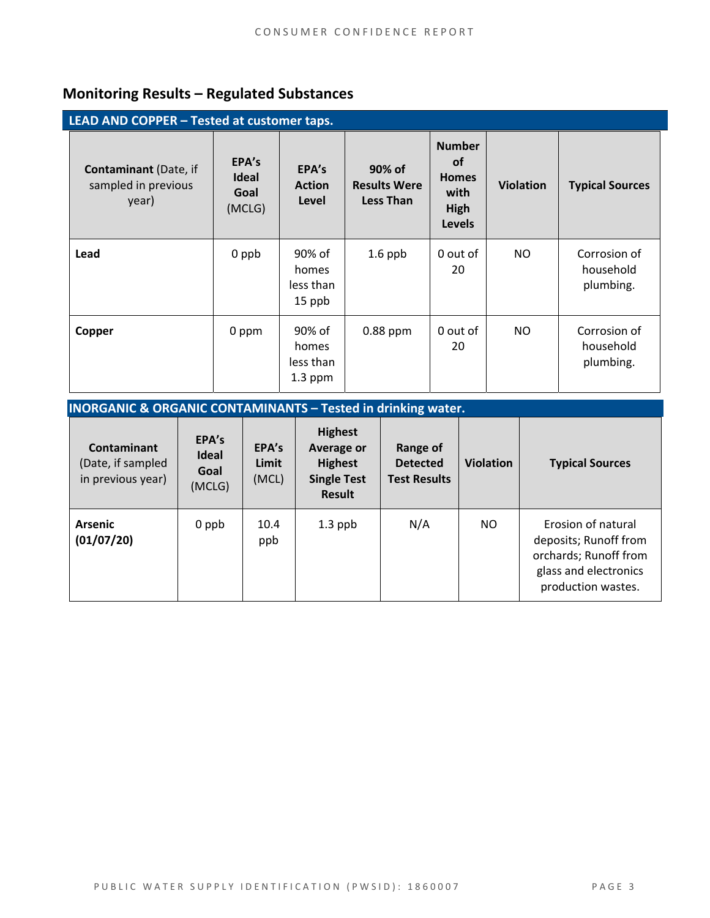# **Monitoring Results – Regulated Substances**

| LEAD AND COPPER - Tested at customer taps.                   |                                  |                                           |                                                   |                                                                             |                  |                                        |  |
|--------------------------------------------------------------|----------------------------------|-------------------------------------------|---------------------------------------------------|-----------------------------------------------------------------------------|------------------|----------------------------------------|--|
| <b>Contaminant</b> (Date, if<br>sampled in previous<br>year) | EPA's<br>Ideal<br>Goal<br>(MCLG) | EPA's<br><b>Action</b><br>Level           | 90% of<br><b>Results Were</b><br><b>Less Than</b> | <b>Number</b><br><b>of</b><br><b>Homes</b><br>with<br>High<br><b>Levels</b> | <b>Violation</b> | <b>Typical Sources</b>                 |  |
| Lead                                                         | 0 ppb                            | 90% of<br>homes<br>less than<br>15 ppb    | $1.6$ ppb                                         | 0 out of<br>20                                                              | NO.              | Corrosion of<br>household<br>plumbing. |  |
| Copper                                                       | 0 ppm                            | 90% of<br>homes<br>less than<br>$1.3$ ppm | 0.88 ppm                                          | 0 out of<br>20                                                              | NO.              | Corrosion of<br>household<br>plumbing. |  |

| <b>INORGANIC &amp; ORGANIC CONTAMINANTS - Tested in drinking water.</b> |                                         |                         |                                                                                       |                                                    |                  |                                                                                                                     |  |
|-------------------------------------------------------------------------|-----------------------------------------|-------------------------|---------------------------------------------------------------------------------------|----------------------------------------------------|------------------|---------------------------------------------------------------------------------------------------------------------|--|
| Contaminant<br>(Date, if sampled<br>in previous year)                   | EPA's<br><b>Ideal</b><br>Goal<br>(MCLG) | EPA's<br>Limit<br>(MCL) | <b>Highest</b><br>Average or<br><b>Highest</b><br><b>Single Test</b><br><b>Result</b> | Range of<br><b>Detected</b><br><b>Test Results</b> | <b>Violation</b> | <b>Typical Sources</b>                                                                                              |  |
| <b>Arsenic</b><br>(01/07/20)                                            | 0 ppb                                   | 10.4<br>ppb             | $1.3$ ppb                                                                             | N/A                                                | NO.              | Erosion of natural<br>deposits; Runoff from<br>orchards; Runoff from<br>glass and electronics<br>production wastes. |  |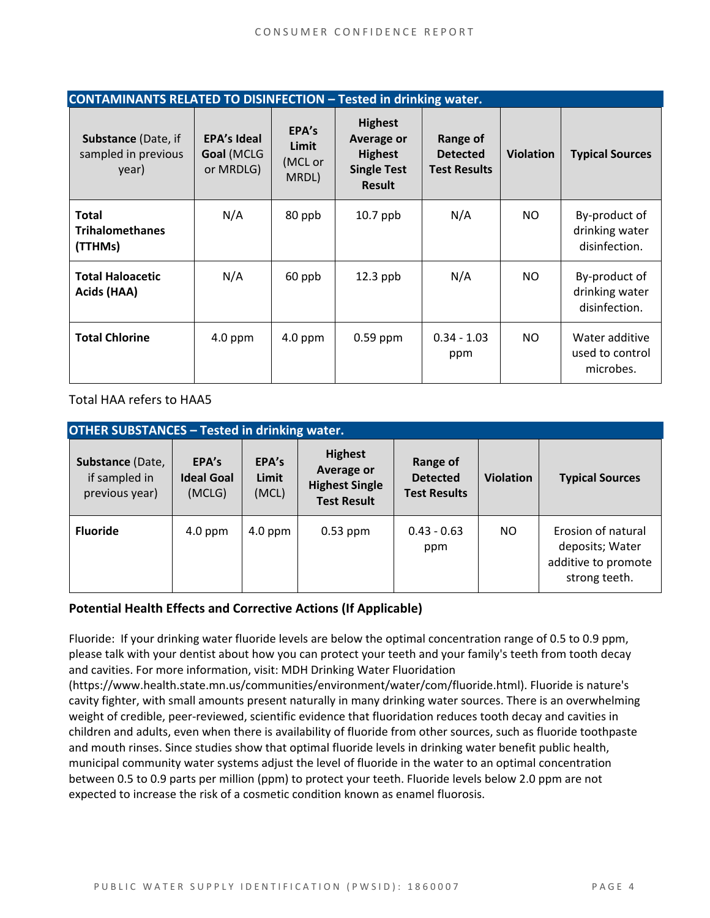| <b>CONTAMINANTS RELATED TO DISINFECTION - Tested in drinking water.</b> |                                               |                                    |                                                                                              |                                                    |                  |                                                  |  |
|-------------------------------------------------------------------------|-----------------------------------------------|------------------------------------|----------------------------------------------------------------------------------------------|----------------------------------------------------|------------------|--------------------------------------------------|--|
| <b>Substance (Date, if</b><br>sampled in previous<br>year)              | <b>EPA's Ideal</b><br>Goal (MCLG<br>or MRDLG) | EPA's<br>Limit<br>(MCL or<br>MRDL) | <b>Highest</b><br><b>Average or</b><br><b>Highest</b><br><b>Single Test</b><br><b>Result</b> | Range of<br><b>Detected</b><br><b>Test Results</b> | <b>Violation</b> | <b>Typical Sources</b>                           |  |
| <b>Total</b><br><b>Trihalomethanes</b><br>(TTHMs)                       | N/A                                           | 80 ppb                             | $10.7$ ppb                                                                                   | N/A                                                | NO.              | By-product of<br>drinking water<br>disinfection. |  |
| <b>Total Haloacetic</b><br>Acids (HAA)                                  | N/A                                           | 60 ppb                             | $12.3$ ppb                                                                                   | N/A                                                | NO.              | By-product of<br>drinking water<br>disinfection. |  |
| <b>Total Chlorine</b>                                                   | $4.0$ ppm                                     | $4.0$ ppm                          | $0.59$ ppm                                                                                   | $0.34 - 1.03$<br>ppm                               | NO.              | Water additive<br>used to control<br>microbes.   |  |

Total HAA refers to HAA5

| <b>OTHER SUBSTANCES - Tested in drinking water.</b> |                                      |                         |                                                                             |                                                    |                  |                                                                               |  |  |
|-----------------------------------------------------|--------------------------------------|-------------------------|-----------------------------------------------------------------------------|----------------------------------------------------|------------------|-------------------------------------------------------------------------------|--|--|
| Substance (Date,<br>if sampled in<br>previous year) | EPA's<br><b>Ideal Goal</b><br>(MCLG) | EPA's<br>Limit<br>(MCL) | <b>Highest</b><br>Average or<br><b>Highest Single</b><br><b>Test Result</b> | Range of<br><b>Detected</b><br><b>Test Results</b> | <b>Violation</b> | <b>Typical Sources</b>                                                        |  |  |
| <b>Fluoride</b>                                     | $4.0$ ppm                            | $4.0$ ppm               | $0.53$ ppm                                                                  | $0.43 - 0.63$<br>ppm                               | NO.              | Erosion of natural<br>deposits; Water<br>additive to promote<br>strong teeth. |  |  |

#### **Potential Health Effects and Corrective Actions (If Applicable)**

Fluoride: If your drinking water fluoride levels are below the optimal concentration range of 0.5 to 0.9 ppm, please talk with your dentist about how you can protect your teeth and your family's teeth from tooth decay and cavities. For more information, visit: MDH Drinking Water Fluoridation

(https://www.health.state.mn.us/communities/environment/water/com/fluoride.html). Fluoride is nature's cavity fighter, with small amounts present naturally in many drinking water sources. There is an overwhelming weight of credible, peer‐reviewed, scientific evidence that fluoridation reduces tooth decay and cavities in children and adults, even when there is availability of fluoride from other sources, such as fluoride toothpaste and mouth rinses. Since studies show that optimal fluoride levels in drinking water benefit public health, municipal community water systems adjust the level of fluoride in the water to an optimal concentration between 0.5 to 0.9 parts per million (ppm) to protect your teeth. Fluoride levels below 2.0 ppm are not expected to increase the risk of a cosmetic condition known as enamel fluorosis.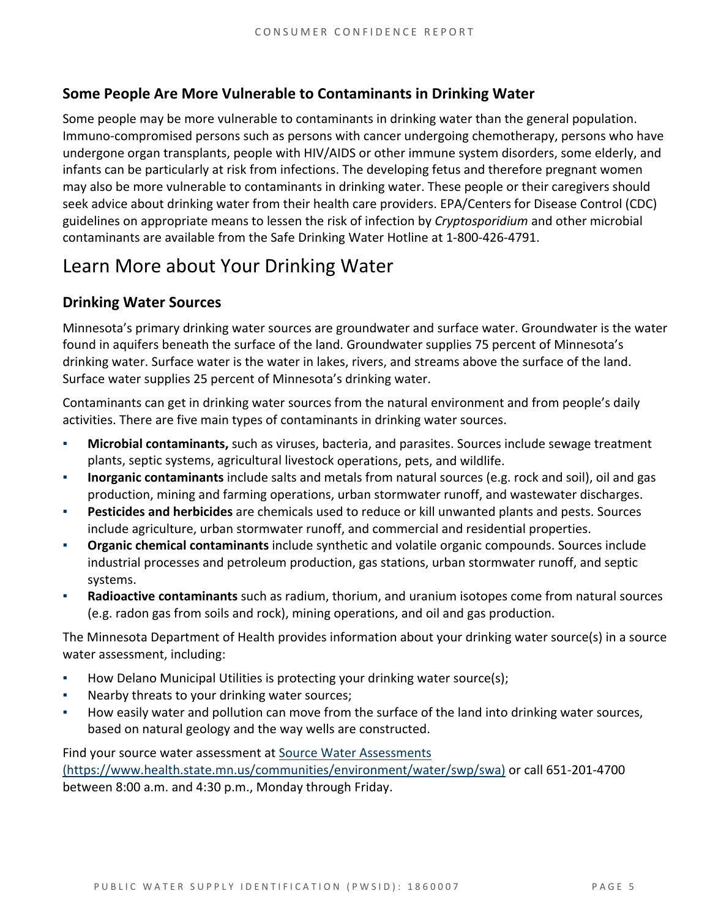### **Some People Are More Vulnerable to Contaminants in Drinking Water**

Some people may be more vulnerable to contaminants in drinking water than the general population. Immuno‐compromised persons such as persons with cancer undergoing chemotherapy, persons who have undergone organ transplants, people with HIV/AIDS or other immune system disorders, some elderly, and infants can be particularly at risk from infections. The developing fetus and therefore pregnant women may also be more vulnerable to contaminants in drinking water. These people or their caregivers should seek advice about drinking water from their health care providers. EPA/Centers for Disease Control (CDC) guidelines on appropriate means to lessen the risk of infection by *Cryptosporidium* and other microbial contaminants are available from the Safe Drinking Water Hotline at 1‐800‐426‐4791.

# Learn More about Your Drinking Water

### **Drinking Water Sources**

Minnesota's primary drinking water sources are groundwater and surface water. Groundwater is the water found in aquifers beneath the surface of the land. Groundwater supplies 75 percent of Minnesota's drinking water. Surface water is the water in lakes, rivers, and streams above the surface of the land. Surface water supplies 25 percent of Minnesota's drinking water.

Contaminants can get in drinking water sources from the natural environment and from people's daily activities. There are five main types of contaminants in drinking water sources.

- **Microbial contaminants,** such as viruses, bacteria, and parasites. Sources include sewage treatment plants, septic systems, agricultural livestock operations, pets, and wildlife.
- Inorganic contaminants include salts and metals from natural sources (e.g. rock and soil), oil and gas production, mining and farming operations, urban stormwater runoff, and wastewater discharges.
- **Pesticides and herbicides** are chemicals used to reduce or kill unwanted plants and pests. Sources include agriculture, urban stormwater runoff, and commercial and residential properties.
- **Organic chemical contaminants** include synthetic and volatile organic compounds. Sources include industrial processes and petroleum production, gas stations, urban stormwater runoff, and septic systems.
- **Radioactive contaminants** such as radium, thorium, and uranium isotopes come from natural sources (e.g. radon gas from soils and rock), mining operations, and oil and gas production.

The Minnesota Department of Health provides information about your drinking water source(s) in a source water assessment, including:

- How Delano Municipal Utilities is protecting your drinking water source(s);
- Nearby threats to your drinking water sources;
- How easily water and pollution can move from the surface of the land into drinking water sources, based on natural geology and the way wells are constructed.

Find your source water assessment at Source Water Assessments (https://www.health.state.mn.us/communities/environment/water/swp/swa) or call 651‐201‐4700 between 8:00 a.m. and 4:30 p.m., Monday through Friday.